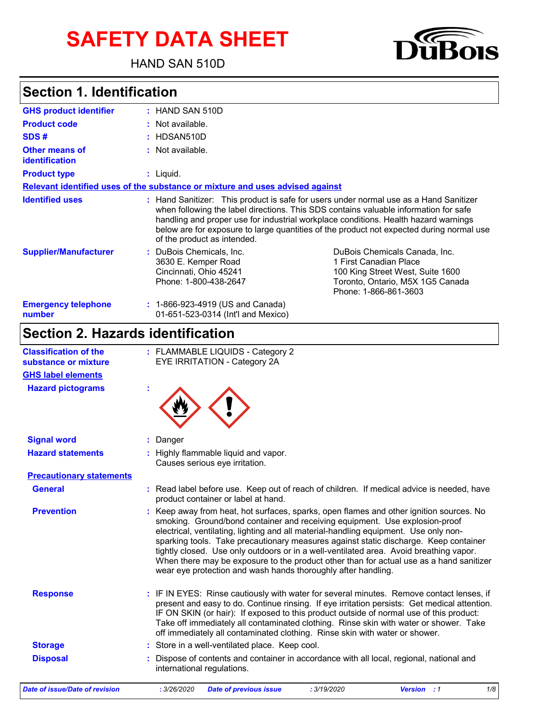# **SAFETY DATA SHEET**

HAND SAN 510D



## **Section 1. Identification**

| <b>GHS product identifier</b>                  | $:$ HAND SAN 510D                                                                                  |                                                                                                                                                                                                                                                                                                                                                                  |  |  |  |  |
|------------------------------------------------|----------------------------------------------------------------------------------------------------|------------------------------------------------------------------------------------------------------------------------------------------------------------------------------------------------------------------------------------------------------------------------------------------------------------------------------------------------------------------|--|--|--|--|
| <b>Product code</b>                            | $:$ Not available.                                                                                 |                                                                                                                                                                                                                                                                                                                                                                  |  |  |  |  |
| SDS#                                           | $:$ HDSAN510D                                                                                      |                                                                                                                                                                                                                                                                                                                                                                  |  |  |  |  |
| <b>Other means of</b><br><b>identification</b> | : Not available.                                                                                   |                                                                                                                                                                                                                                                                                                                                                                  |  |  |  |  |
| <b>Product type</b>                            | $:$ Liquid.                                                                                        |                                                                                                                                                                                                                                                                                                                                                                  |  |  |  |  |
|                                                | Relevant identified uses of the substance or mixture and uses advised against                      |                                                                                                                                                                                                                                                                                                                                                                  |  |  |  |  |
| <b>Identified uses</b>                         | of the product as intended.                                                                        | : Hand Sanitizer: This product is safe for users under normal use as a Hand Sanitizer<br>when following the label directions. This SDS contains valuable information for safe<br>handling and proper use for industrial workplace conditions. Health hazard warnings<br>below are for exposure to large quantities of the product not expected during normal use |  |  |  |  |
| <b>Supplier/Manufacturer</b>                   | : DuBois Chemicals, Inc.<br>3630 E. Kemper Road<br>Cincinnati, Ohio 45241<br>Phone: 1-800-438-2647 | DuBois Chemicals Canada, Inc.<br>1 First Canadian Place<br>100 King Street West, Suite 1600<br>Toronto, Ontario, M5X 1G5 Canada<br>Phone: 1-866-861-3603                                                                                                                                                                                                         |  |  |  |  |
| <b>Emergency telephone</b><br>number           | : 1-866-923-4919 (US and Canada)<br>01-651-523-0314 (Int'l and Mexico)                             |                                                                                                                                                                                                                                                                                                                                                                  |  |  |  |  |

## **Section 2. Hazards identification**

| <b>Classification of the</b><br>substance or mixture<br><b>GHS label elements</b> | : FLAMMABLE LIQUIDS - Category 2<br>EYE IRRITATION - Category 2A                                                                                                                                                                                                                                                                                                                                                                                                                                                                                                                                           |
|-----------------------------------------------------------------------------------|------------------------------------------------------------------------------------------------------------------------------------------------------------------------------------------------------------------------------------------------------------------------------------------------------------------------------------------------------------------------------------------------------------------------------------------------------------------------------------------------------------------------------------------------------------------------------------------------------------|
| <b>Hazard pictograms</b>                                                          |                                                                                                                                                                                                                                                                                                                                                                                                                                                                                                                                                                                                            |
| <b>Signal word</b>                                                                | Danger                                                                                                                                                                                                                                                                                                                                                                                                                                                                                                                                                                                                     |
| <b>Hazard statements</b>                                                          | : Highly flammable liquid and vapor.<br>Causes serious eye irritation.                                                                                                                                                                                                                                                                                                                                                                                                                                                                                                                                     |
| <b>Precautionary statements</b>                                                   |                                                                                                                                                                                                                                                                                                                                                                                                                                                                                                                                                                                                            |
| <b>General</b>                                                                    | : Read label before use. Keep out of reach of children. If medical advice is needed, have<br>product container or label at hand.                                                                                                                                                                                                                                                                                                                                                                                                                                                                           |
| <b>Prevention</b>                                                                 | Keep away from heat, hot surfaces, sparks, open flames and other ignition sources. No<br>smoking. Ground/bond container and receiving equipment. Use explosion-proof<br>electrical, ventilating, lighting and all material-handling equipment. Use only non-<br>sparking tools. Take precautionary measures against static discharge. Keep container<br>tightly closed. Use only outdoors or in a well-ventilated area. Avoid breathing vapor.<br>When there may be exposure to the product other than for actual use as a hand sanitizer<br>wear eye protection and wash hands thoroughly after handling. |
| <b>Response</b>                                                                   | : IF IN EYES: Rinse cautiously with water for several minutes. Remove contact lenses, if<br>present and easy to do. Continue rinsing. If eye irritation persists: Get medical attention.<br>IF ON SKIN (or hair): If exposed to this product outside of normal use of this product:<br>Take off immediately all contaminated clothing. Rinse skin with water or shower. Take<br>off immediately all contaminated clothing. Rinse skin with water or shower.                                                                                                                                                |
| <b>Storage</b>                                                                    | : Store in a well-ventilated place. Keep cool.                                                                                                                                                                                                                                                                                                                                                                                                                                                                                                                                                             |
| <b>Disposal</b>                                                                   | Dispose of contents and container in accordance with all local, regional, national and<br>international regulations.                                                                                                                                                                                                                                                                                                                                                                                                                                                                                       |
| <b>Date of issue/Date of revision</b>                                             | 1/8<br>: 3/26/2020<br><b>Date of previous issue</b><br>: 3/19/2020<br><b>Version</b> : 1                                                                                                                                                                                                                                                                                                                                                                                                                                                                                                                   |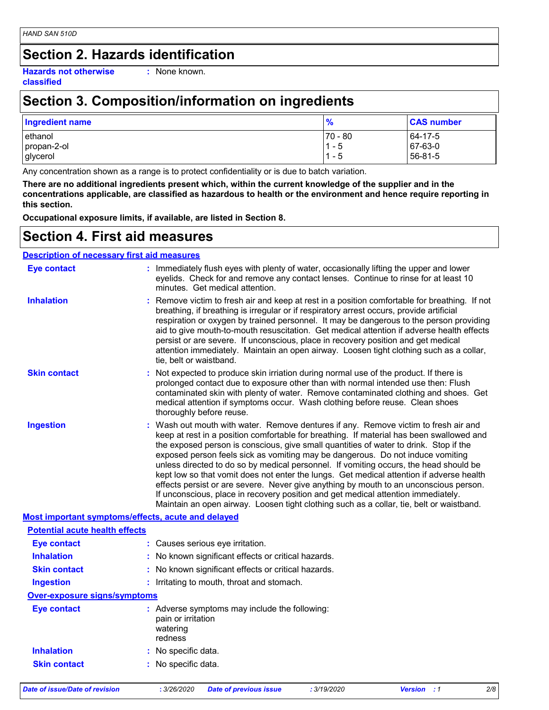### **Section 2. Hazards identification**

**Hazards not otherwise classified**

**:** None known.

### **Section 3. Composition/information on ingredients**

| <b>Ingredient name</b> | $\frac{9}{6}$ | <b>CAS number</b> |
|------------------------|---------------|-------------------|
| lethanol               | 170 - 80      | 64-17-5           |
| propan-2-ol            | $1 - 5$       | 67-63-0           |
| glycerol               | - 5           | 56-81-5           |

Any concentration shown as a range is to protect confidentiality or is due to batch variation.

**There are no additional ingredients present which, within the current knowledge of the supplier and in the concentrations applicable, are classified as hazardous to health or the environment and hence require reporting in this section.**

**Occupational exposure limits, if available, are listed in Section 8.**

#### **Section 4. First aid measures**

#### **Description of necessary first aid measures**

| <b>Eye contact</b>                                 | : Immediately flush eyes with plenty of water, occasionally lifting the upper and lower<br>eyelids. Check for and remove any contact lenses. Continue to rinse for at least 10<br>minutes. Get medical attention.                                                                                                                                                                                                                                                                                                                                                                                                                                                                                                                                                                                                       |  |  |  |  |  |  |
|----------------------------------------------------|-------------------------------------------------------------------------------------------------------------------------------------------------------------------------------------------------------------------------------------------------------------------------------------------------------------------------------------------------------------------------------------------------------------------------------------------------------------------------------------------------------------------------------------------------------------------------------------------------------------------------------------------------------------------------------------------------------------------------------------------------------------------------------------------------------------------------|--|--|--|--|--|--|
| <b>Inhalation</b>                                  | Remove victim to fresh air and keep at rest in a position comfortable for breathing. If not<br>breathing, if breathing is irregular or if respiratory arrest occurs, provide artificial<br>respiration or oxygen by trained personnel. It may be dangerous to the person providing<br>aid to give mouth-to-mouth resuscitation. Get medical attention if adverse health effects<br>persist or are severe. If unconscious, place in recovery position and get medical<br>attention immediately. Maintain an open airway. Loosen tight clothing such as a collar,<br>tie, belt or waistband.                                                                                                                                                                                                                              |  |  |  |  |  |  |
| <b>Skin contact</b>                                | Not expected to produce skin irriation during normal use of the product. If there is<br>prolonged contact due to exposure other than with normal intended use then: Flush<br>contaminated skin with plenty of water. Remove contaminated clothing and shoes. Get<br>medical attention if symptoms occur. Wash clothing before reuse. Clean shoes<br>thoroughly before reuse.                                                                                                                                                                                                                                                                                                                                                                                                                                            |  |  |  |  |  |  |
| <b>Ingestion</b>                                   | Wash out mouth with water. Remove dentures if any. Remove victim to fresh air and<br>keep at rest in a position comfortable for breathing. If material has been swallowed and<br>the exposed person is conscious, give small quantities of water to drink. Stop if the<br>exposed person feels sick as vomiting may be dangerous. Do not induce vomiting<br>unless directed to do so by medical personnel. If vomiting occurs, the head should be<br>kept low so that vomit does not enter the lungs. Get medical attention if adverse health<br>effects persist or are severe. Never give anything by mouth to an unconscious person.<br>If unconscious, place in recovery position and get medical attention immediately.<br>Maintain an open airway. Loosen tight clothing such as a collar, tie, belt or waistband. |  |  |  |  |  |  |
| Most important symptoms/effects, acute and delayed |                                                                                                                                                                                                                                                                                                                                                                                                                                                                                                                                                                                                                                                                                                                                                                                                                         |  |  |  |  |  |  |
| <b>Potential acute health effects</b>              |                                                                                                                                                                                                                                                                                                                                                                                                                                                                                                                                                                                                                                                                                                                                                                                                                         |  |  |  |  |  |  |
| <b>Eye contact</b>                                 | : Causes serious eye irritation.                                                                                                                                                                                                                                                                                                                                                                                                                                                                                                                                                                                                                                                                                                                                                                                        |  |  |  |  |  |  |
| <b>Inhalation</b>                                  | : No known significant effects or critical hazards.                                                                                                                                                                                                                                                                                                                                                                                                                                                                                                                                                                                                                                                                                                                                                                     |  |  |  |  |  |  |
| <b>Skin contact</b>                                | No known significant effects or critical hazards.                                                                                                                                                                                                                                                                                                                                                                                                                                                                                                                                                                                                                                                                                                                                                                       |  |  |  |  |  |  |
| <b>Ingestion</b>                                   | : Irritating to mouth, throat and stomach.                                                                                                                                                                                                                                                                                                                                                                                                                                                                                                                                                                                                                                                                                                                                                                              |  |  |  |  |  |  |
| <b>Over-exposure signs/symptoms</b>                |                                                                                                                                                                                                                                                                                                                                                                                                                                                                                                                                                                                                                                                                                                                                                                                                                         |  |  |  |  |  |  |
| <b>Eye contact</b>                                 | : Adverse symptoms may include the following:<br>pain or irritation<br>watering<br>redness                                                                                                                                                                                                                                                                                                                                                                                                                                                                                                                                                                                                                                                                                                                              |  |  |  |  |  |  |
| <b>Inhalation</b>                                  | : No specific data.                                                                                                                                                                                                                                                                                                                                                                                                                                                                                                                                                                                                                                                                                                                                                                                                     |  |  |  |  |  |  |
| <b>Skin contact</b>                                | : No specific data.                                                                                                                                                                                                                                                                                                                                                                                                                                                                                                                                                                                                                                                                                                                                                                                                     |  |  |  |  |  |  |
| <b>Date of issue/Date of revision</b>              | : 3/26/2020<br>: 3/19/2020<br><b>Version</b> : 1<br>2/8<br><b>Date of previous issue</b>                                                                                                                                                                                                                                                                                                                                                                                                                                                                                                                                                                                                                                                                                                                                |  |  |  |  |  |  |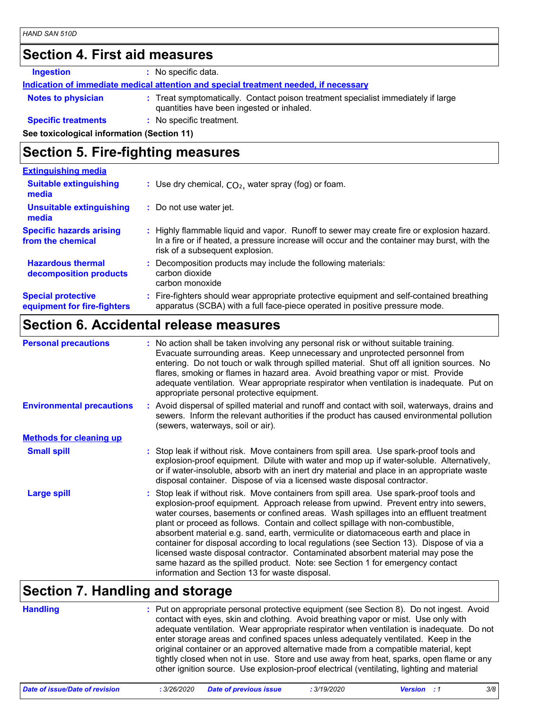#### **Section 4. First aid measures**

**Ingestion :** No specific data.

**Indication of immediate medical attention and special treatment needed, if necessary**

**Notes to physician <b>:** Treat symptomatically. Contact poison treatment specialist immediately if large

quantities have been ingested or inhaled.

**Specific treatments :** No specific treatment.

**See toxicological information (Section 11)**

### **Section 5. Fire-fighting measures**

| <b>Extinguishing media</b>                               |                                   |                                                                                                                                                                                                                            |
|----------------------------------------------------------|-----------------------------------|----------------------------------------------------------------------------------------------------------------------------------------------------------------------------------------------------------------------------|
| <b>Suitable extinguishing</b><br>media                   |                                   | : Use dry chemical, $CO2$ , water spray (fog) or foam.                                                                                                                                                                     |
| <b>Unsuitable extinguishing</b><br>media                 | : Do not use water jet.           |                                                                                                                                                                                                                            |
| <b>Specific hazards arising</b><br>from the chemical     |                                   | Highly flammable liquid and vapor. Runoff to sewer may create fire or explosion hazard.<br>In a fire or if heated, a pressure increase will occur and the container may burst, with the<br>risk of a subsequent explosion. |
| <b>Hazardous thermal</b><br>decomposition products       | carbon dioxide<br>carbon monoxide | Decomposition products may include the following materials:                                                                                                                                                                |
| <b>Special protective</b><br>equipment for fire-fighters |                                   | Fire-fighters should wear appropriate protective equipment and self-contained breathing<br>apparatus (SCBA) with a full face-piece operated in positive pressure mode.                                                     |

#### **Section 6. Accidental release measures**

| <b>Personal precautions</b>      | : No action shall be taken involving any personal risk or without suitable training.<br>Evacuate surrounding areas. Keep unnecessary and unprotected personnel from<br>entering. Do not touch or walk through spilled material. Shut off all ignition sources. No<br>flares, smoking or flames in hazard area. Avoid breathing vapor or mist. Provide<br>adequate ventilation. Wear appropriate respirator when ventilation is inadequate. Put on<br>appropriate personal protective equipment.                                                                                                                                                                                                                                                                    |
|----------------------------------|--------------------------------------------------------------------------------------------------------------------------------------------------------------------------------------------------------------------------------------------------------------------------------------------------------------------------------------------------------------------------------------------------------------------------------------------------------------------------------------------------------------------------------------------------------------------------------------------------------------------------------------------------------------------------------------------------------------------------------------------------------------------|
| <b>Environmental precautions</b> | : Avoid dispersal of spilled material and runoff and contact with soil, waterways, drains and<br>sewers. Inform the relevant authorities if the product has caused environmental pollution<br>(sewers, waterways, soil or air).                                                                                                                                                                                                                                                                                                                                                                                                                                                                                                                                    |
| <b>Methods for cleaning up</b>   |                                                                                                                                                                                                                                                                                                                                                                                                                                                                                                                                                                                                                                                                                                                                                                    |
| <b>Small spill</b>               | : Stop leak if without risk. Move containers from spill area. Use spark-proof tools and<br>explosion-proof equipment. Dilute with water and mop up if water-soluble. Alternatively,<br>or if water-insoluble, absorb with an inert dry material and place in an appropriate waste<br>disposal container. Dispose of via a licensed waste disposal contractor.                                                                                                                                                                                                                                                                                                                                                                                                      |
| <b>Large spill</b>               | Stop leak if without risk. Move containers from spill area. Use spark-proof tools and<br>explosion-proof equipment. Approach release from upwind. Prevent entry into sewers,<br>water courses, basements or confined areas. Wash spillages into an effluent treatment<br>plant or proceed as follows. Contain and collect spillage with non-combustible,<br>absorbent material e.g. sand, earth, vermiculite or diatomaceous earth and place in<br>container for disposal according to local regulations (see Section 13). Dispose of via a<br>licensed waste disposal contractor. Contaminated absorbent material may pose the<br>same hazard as the spilled product. Note: see Section 1 for emergency contact<br>information and Section 13 for waste disposal. |

### **Section 7. Handling and storage**

**Handling** Put on appropriate personal protective equipment (see Section 8). Do not ingest. Avoid **:** contact with eyes, skin and clothing. Avoid breathing vapor or mist. Use only with adequate ventilation. Wear appropriate respirator when ventilation is inadequate. Do not enter storage areas and confined spaces unless adequately ventilated. Keep in the original container or an approved alternative made from a compatible material, kept tightly closed when not in use. Store and use away from heat, sparks, open flame or any other ignition source. Use explosion-proof electrical (ventilating, lighting and material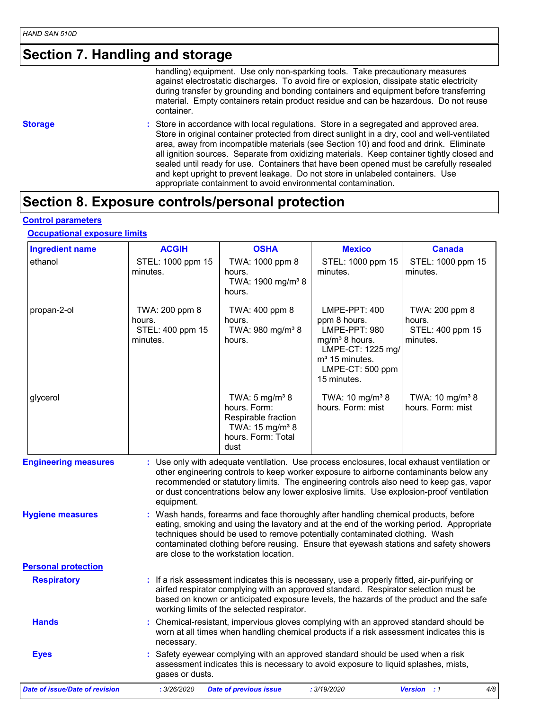### **Section 7. Handling and storage**

handling) equipment. Use only non-sparking tools. Take precautionary measures against electrostatic discharges. To avoid fire or explosion, dissipate static electricity during transfer by grounding and bonding containers and equipment before transferring material. Empty containers retain product residue and can be hazardous. Do not reuse container.

**Storage state of a Store in accordance with local regulations. Store in a segregated and approved area.** Store in original container protected from direct sunlight in a dry, cool and well-ventilated area, away from incompatible materials (see Section 10) and food and drink. Eliminate all ignition sources. Separate from oxidizing materials. Keep container tightly closed and sealed until ready for use. Containers that have been opened must be carefully resealed and kept upright to prevent leakage. Do not store in unlabeled containers. Use appropriate containment to avoid environmental contamination.

#### **Section 8. Exposure controls/personal protection**

**Control parameters**

#### **Occupational exposure limits**

| <b>Ingredient name</b>                | <b>ACGIH</b>                                             | <b>OSHA</b>                                                                                                                                                                                                                                                                                                                                                                                       | <b>Mexico</b>                                                                                                                                                      | <b>Canada</b>                                            |
|---------------------------------------|----------------------------------------------------------|---------------------------------------------------------------------------------------------------------------------------------------------------------------------------------------------------------------------------------------------------------------------------------------------------------------------------------------------------------------------------------------------------|--------------------------------------------------------------------------------------------------------------------------------------------------------------------|----------------------------------------------------------|
| ethanol                               | STEL: 1000 ppm 15<br>minutes.                            | TWA: 1000 ppm 8<br>hours.<br>TWA: 1900 mg/m <sup>3</sup> 8<br>hours.                                                                                                                                                                                                                                                                                                                              | STEL: 1000 ppm 15<br>minutes.                                                                                                                                      | STEL: 1000 ppm 15<br>minutes.                            |
| propan-2-ol                           | TWA: 200 ppm 8<br>hours.<br>STEL: 400 ppm 15<br>minutes. | TWA: 400 ppm 8<br>hours.<br>TWA: 980 mg/m <sup>3</sup> 8<br>hours.                                                                                                                                                                                                                                                                                                                                | LMPE-PPT: 400<br>ppm 8 hours.<br>LMPE-PPT: 980<br>mg/m <sup>3</sup> 8 hours.<br>LMPE-CT: 1225 mg/<br>m <sup>3</sup> 15 minutes.<br>LMPE-CT: 500 ppm<br>15 minutes. | TWA: 200 ppm 8<br>hours.<br>STEL: 400 ppm 15<br>minutes. |
| glycerol                              |                                                          | TWA: $5 \text{ mg/m}^3$ 8<br>hours. Form:<br>Respirable fraction<br>TWA: 15 mg/m <sup>3</sup> 8<br>hours. Form: Total<br>dust                                                                                                                                                                                                                                                                     | TWA: $10 \text{ mg/m}^3$ 8<br>hours. Form: mist                                                                                                                    | TWA: 10 mg/m <sup>3</sup> 8<br>hours. Form: mist         |
| <b>Engineering measures</b>           | equipment.                                               | : Use only with adequate ventilation. Use process enclosures, local exhaust ventilation or<br>other engineering controls to keep worker exposure to airborne contaminants below any<br>recommended or statutory limits. The engineering controls also need to keep gas, vapor<br>or dust concentrations below any lower explosive limits. Use explosion-proof ventilation                         |                                                                                                                                                                    |                                                          |
| <b>Hygiene measures</b>               |                                                          | : Wash hands, forearms and face thoroughly after handling chemical products, before<br>eating, smoking and using the lavatory and at the end of the working period. Appropriate<br>techniques should be used to remove potentially contaminated clothing. Wash<br>contaminated clothing before reusing. Ensure that eyewash stations and safety showers<br>are close to the workstation location. |                                                                                                                                                                    |                                                          |
| <b>Personal protection</b>            |                                                          |                                                                                                                                                                                                                                                                                                                                                                                                   |                                                                                                                                                                    |                                                          |
| <b>Respiratory</b>                    |                                                          | : If a risk assessment indicates this is necessary, use a properly fitted, air-purifying or<br>airfed respirator complying with an approved standard. Respirator selection must be<br>based on known or anticipated exposure levels, the hazards of the product and the safe<br>working limits of the selected respirator.                                                                        |                                                                                                                                                                    |                                                          |
| <b>Hands</b>                          | necessary.                                               | Chemical-resistant, impervious gloves complying with an approved standard should be<br>worn at all times when handling chemical products if a risk assessment indicates this is                                                                                                                                                                                                                   |                                                                                                                                                                    |                                                          |
| <b>Eyes</b>                           | gases or dusts.                                          | : Safety eyewear complying with an approved standard should be used when a risk<br>assessment indicates this is necessary to avoid exposure to liquid splashes, mists,                                                                                                                                                                                                                            |                                                                                                                                                                    |                                                          |
| <b>Date of issue/Date of revision</b> | : 3/26/2020                                              | <b>Date of previous issue</b>                                                                                                                                                                                                                                                                                                                                                                     | : 3/19/2020                                                                                                                                                        | <b>Version</b> : 1<br>4/8                                |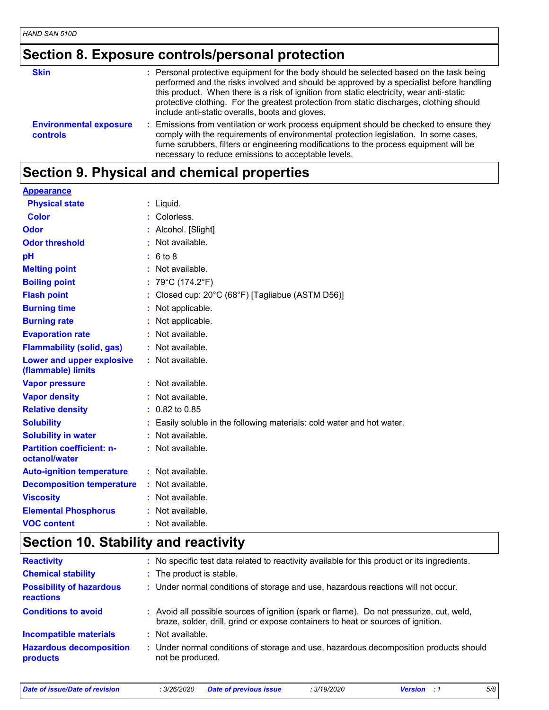## **Section 8. Exposure controls/personal protection**

| <b>Skin</b>                                      | : Personal protective equipment for the body should be selected based on the task being<br>performed and the risks involved and should be approved by a specialist before handling<br>this product. When there is a risk of ignition from static electricity, wear anti-static<br>protective clothing. For the greatest protection from static discharges, clothing should<br>include anti-static overalls, boots and gloves. |
|--------------------------------------------------|-------------------------------------------------------------------------------------------------------------------------------------------------------------------------------------------------------------------------------------------------------------------------------------------------------------------------------------------------------------------------------------------------------------------------------|
| <b>Environmental exposure</b><br><b>controls</b> | : Emissions from ventilation or work process equipment should be checked to ensure they<br>comply with the requirements of environmental protection legislation. In some cases,<br>fume scrubbers, filters or engineering modifications to the process equipment will be<br>necessary to reduce emissions to acceptable levels.                                                                                               |

#### **Section 9. Physical and chemical properties**

#### **Appearance**

| <b>Physical state</b>                             | : Liquid.                                                            |
|---------------------------------------------------|----------------------------------------------------------------------|
| <b>Color</b>                                      | Colorless.                                                           |
| Odor                                              | : Alcohol. [Slight]                                                  |
| <b>Odor threshold</b>                             | Not available.                                                       |
| pH                                                | : 6 to 8                                                             |
| <b>Melting point</b>                              | : Not available.                                                     |
| <b>Boiling point</b>                              | : $79^{\circ}$ C (174.2 $^{\circ}$ F)                                |
| <b>Flash point</b>                                | : Closed cup: 20°C (68°F) [Tagliabue (ASTM D56)]                     |
| <b>Burning time</b>                               | : Not applicable.                                                    |
| <b>Burning rate</b>                               | : Not applicable.                                                    |
| <b>Evaporation rate</b>                           | : Not available.                                                     |
| <b>Flammability (solid, gas)</b>                  | : Not available.                                                     |
| Lower and upper explosive<br>(flammable) limits   | : Not available.                                                     |
| <b>Vapor pressure</b>                             | $:$ Not available.                                                   |
| <b>Vapor density</b>                              | : Not available.                                                     |
| <b>Relative density</b>                           | $: 0.82$ to 0.85                                                     |
| <b>Solubility</b>                                 | Easily soluble in the following materials: cold water and hot water. |
| <b>Solubility in water</b>                        | : Not available.                                                     |
| <b>Partition coefficient: n-</b><br>octanol/water | : Not available.                                                     |
| <b>Auto-ignition temperature</b>                  | : Not available.                                                     |
| <b>Decomposition temperature</b>                  | : Not available.                                                     |
| <b>Viscosity</b>                                  | : Not available.                                                     |
| <b>Elemental Phosphorus</b>                       | : Not available.                                                     |
| <b>VOC content</b>                                | : Not available.                                                     |

### **Section 10. Stability and reactivity**

| <b>Reactivity</b>                                   | : No specific test data related to reactivity available for this product or its ingredients.                                                                                 |
|-----------------------------------------------------|------------------------------------------------------------------------------------------------------------------------------------------------------------------------------|
| <b>Chemical stability</b>                           | : The product is stable.                                                                                                                                                     |
| <b>Possibility of hazardous</b><br><b>reactions</b> | : Under normal conditions of storage and use, hazardous reactions will not occur.                                                                                            |
| <b>Conditions to avoid</b>                          | : Avoid all possible sources of ignition (spark or flame). Do not pressurize, cut, weld,<br>braze, solder, drill, grind or expose containers to heat or sources of ignition. |
| <b>Incompatible materials</b>                       | $\therefore$ Not available.                                                                                                                                                  |
| <b>Hazardous decomposition</b><br>products          | : Under normal conditions of storage and use, hazardous decomposition products should<br>not be produced.                                                                    |

*Date of issue/Date of revision* **:** *3/26/2020 Date of previous issue : 3/19/2020 Version : 1 5/8*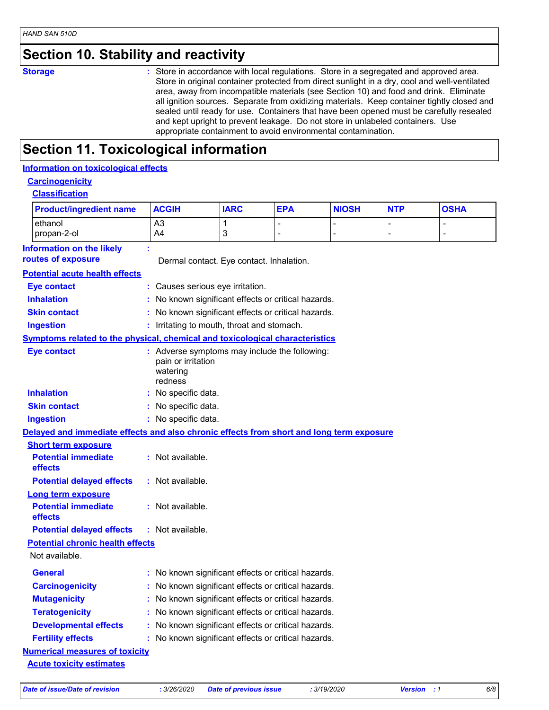### **Section 10. Stability and reactivity**

**Storage <b>Storage 1988 :** Store in accordance with local regulations. Store in a segregated and approved area. Store in original container protected from direct sunlight in a dry, cool and well-ventilated area, away from incompatible materials (see Section 10) and food and drink. Eliminate all ignition sources. Separate from oxidizing materials. Keep container tightly closed and sealed until ready for use. Containers that have been opened must be carefully resealed and kept upright to prevent leakage. Do not store in unlabeled containers. Use appropriate containment to avoid environmental contamination.

### **Section 11. Toxicological information**

#### **Information on toxicological effects**

#### **Carcinogenicity Classification**

| <u>Classification</u>                                                                    |                                           |                                                     |            |              |            |             |  |  |
|------------------------------------------------------------------------------------------|-------------------------------------------|-----------------------------------------------------|------------|--------------|------------|-------------|--|--|
| <b>Product/ingredient name</b>                                                           | <b>ACGIH</b>                              | <b>IARC</b>                                         | <b>EPA</b> | <b>NIOSH</b> | <b>NTP</b> | <b>OSHA</b> |  |  |
| ethanol                                                                                  | A3                                        | 1                                                   |            |              |            |             |  |  |
| propan-2-ol                                                                              | A4                                        | 3                                                   |            |              |            |             |  |  |
| <b>Information on the likely</b>                                                         |                                           |                                                     |            |              |            |             |  |  |
| routes of exposure                                                                       |                                           | Dermal contact. Eye contact. Inhalation.            |            |              |            |             |  |  |
| <b>Potential acute health effects</b>                                                    |                                           |                                                     |            |              |            |             |  |  |
| Eye contact                                                                              |                                           | Causes serious eye irritation.                      |            |              |            |             |  |  |
| <b>Inhalation</b>                                                                        |                                           | No known significant effects or critical hazards.   |            |              |            |             |  |  |
| <b>Skin contact</b>                                                                      |                                           | No known significant effects or critical hazards.   |            |              |            |             |  |  |
| <b>Ingestion</b>                                                                         |                                           | : Irritating to mouth, throat and stomach.          |            |              |            |             |  |  |
| Symptoms related to the physical, chemical and toxicological characteristics             |                                           |                                                     |            |              |            |             |  |  |
| <b>Eye contact</b>                                                                       | pain or irritation<br>watering<br>redness | : Adverse symptoms may include the following:       |            |              |            |             |  |  |
| <b>Inhalation</b>                                                                        | No specific data.                         |                                                     |            |              |            |             |  |  |
| <b>Skin contact</b>                                                                      | : No specific data.                       |                                                     |            |              |            |             |  |  |
| <b>Ingestion</b>                                                                         | : No specific data.                       |                                                     |            |              |            |             |  |  |
| Delayed and immediate effects and also chronic effects from short and long term exposure |                                           |                                                     |            |              |            |             |  |  |
| <b>Short term exposure</b>                                                               |                                           |                                                     |            |              |            |             |  |  |
| <b>Potential immediate</b><br>effects                                                    | : Not available.                          |                                                     |            |              |            |             |  |  |
| <b>Potential delayed effects</b>                                                         | : Not available.                          |                                                     |            |              |            |             |  |  |
| <b>Long term exposure</b>                                                                |                                           |                                                     |            |              |            |             |  |  |
| <b>Potential immediate</b><br>effects                                                    | : Not available.                          |                                                     |            |              |            |             |  |  |
| <b>Potential delayed effects</b>                                                         | : Not available.                          |                                                     |            |              |            |             |  |  |
| <b>Potential chronic health effects</b>                                                  |                                           |                                                     |            |              |            |             |  |  |
| Not available.                                                                           |                                           |                                                     |            |              |            |             |  |  |
| <b>General</b>                                                                           |                                           | : No known significant effects or critical hazards. |            |              |            |             |  |  |
| <b>Carcinogenicity</b>                                                                   |                                           | No known significant effects or critical hazards.   |            |              |            |             |  |  |
| <b>Mutagenicity</b>                                                                      |                                           | No known significant effects or critical hazards.   |            |              |            |             |  |  |
| <b>Teratogenicity</b>                                                                    |                                           | No known significant effects or critical hazards.   |            |              |            |             |  |  |
| <b>Developmental effects</b>                                                             |                                           | No known significant effects or critical hazards.   |            |              |            |             |  |  |
| <b>Fertility effects</b>                                                                 |                                           | No known significant effects or critical hazards.   |            |              |            |             |  |  |
| <b>Numerical measures of toxicity</b>                                                    |                                           |                                                     |            |              |            |             |  |  |

**Acute toxicity estimates**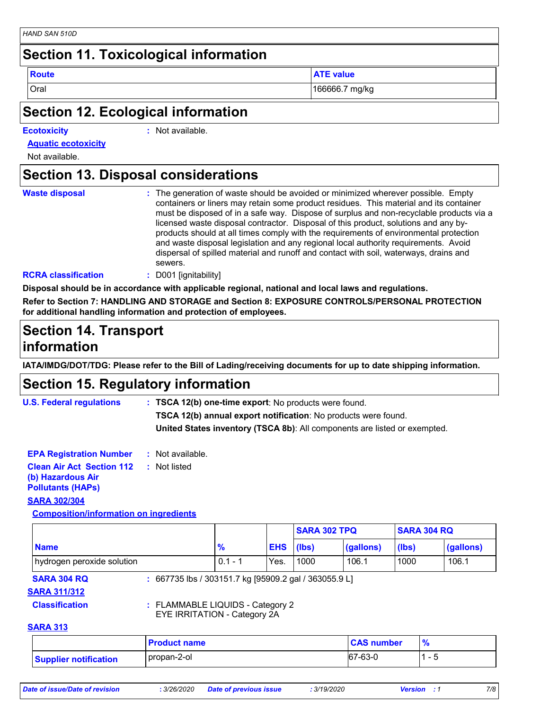#### **Section 11. Toxicological information**

**Route ATE value** 

Oral 166666.7 mg/kg

#### **Section 12. Ecological information**

**Ecotoxicity :**

: Not available.

**Aquatic ecotoxicity**

Not available.

#### **Section 13. Disposal considerations**

| <b>Waste disposal</b> |  |  |  |  |
|-----------------------|--|--|--|--|
|                       |  |  |  |  |

The generation of waste should be avoided or minimized wherever possible. Empty **Waste disposal :** containers or liners may retain some product residues. This material and its container must be disposed of in a safe way. Dispose of surplus and non-recyclable products via a licensed waste disposal contractor. Disposal of this product, solutions and any byproducts should at all times comply with the requirements of environmental protection and waste disposal legislation and any regional local authority requirements. Avoid dispersal of spilled material and runoff and contact with soil, waterways, drains and sewers.

#### **RCRA classification :** D001 [ignitability]

**Disposal should be in accordance with applicable regional, national and local laws and regulations.**

**Refer to Section 7: HANDLING AND STORAGE and Section 8: EXPOSURE CONTROLS/PERSONAL PROTECTION for additional handling information and protection of employees.**

#### **Section 14. Transport information**

**IATA/IMDG/DOT/TDG: Please refer to the Bill of Lading/receiving documents for up to date shipping information.**

#### **Section 15. Regulatory information**

**U.S. Federal regulations : TSCA 12(b) one-time export**: No products were found. **TSCA 12(b) annual export notification**: No products were found. **United States inventory (TSCA 8b)**: All components are listed or exempted.

**Clean Air Act Section 112 (b) Hazardous Air Pollutants (HAPs) :** Not listed **SARA 302/304 EPA Registration Number :** Not available.

**Composition/information on ingredients**

|                            |                                                       |           |            | <b>SARA 302 TPQ</b> |           | <b>SARA 304 RQ</b> |           |
|----------------------------|-------------------------------------------------------|-----------|------------|---------------------|-----------|--------------------|-----------|
| <b>Name</b>                |                                                       | $\%$      | <b>EHS</b> | (Ibs)               | (gallons) | (lbs)              | (gallons) |
| hydrogen peroxide solution |                                                       | $0.1 - 1$ | Yes.       | 1000                | 106.1     | 1000               | 106.1     |
| <b>SARA 304 RQ</b>         | : 667735 lbs / 303151.7 kg [95909.2 gal / 363055.9 L] |           |            |                     |           |                    |           |
| <b>SARA 311/312</b>        |                                                       |           |            |                     |           |                    |           |
| <b>Classification</b>      | : FLAMMABLE LIQUIDS - Category 2                      |           |            |                     |           |                    |           |

EYE IRRITATION - Category 2A

#### **SARA 313**

|                       | <b>Product name</b> | <b>CAS number</b> |                          |
|-----------------------|---------------------|-------------------|--------------------------|
| Supplier notification | propan-2-ol         | 67-63-0           | $\overline{\phantom{a}}$ |